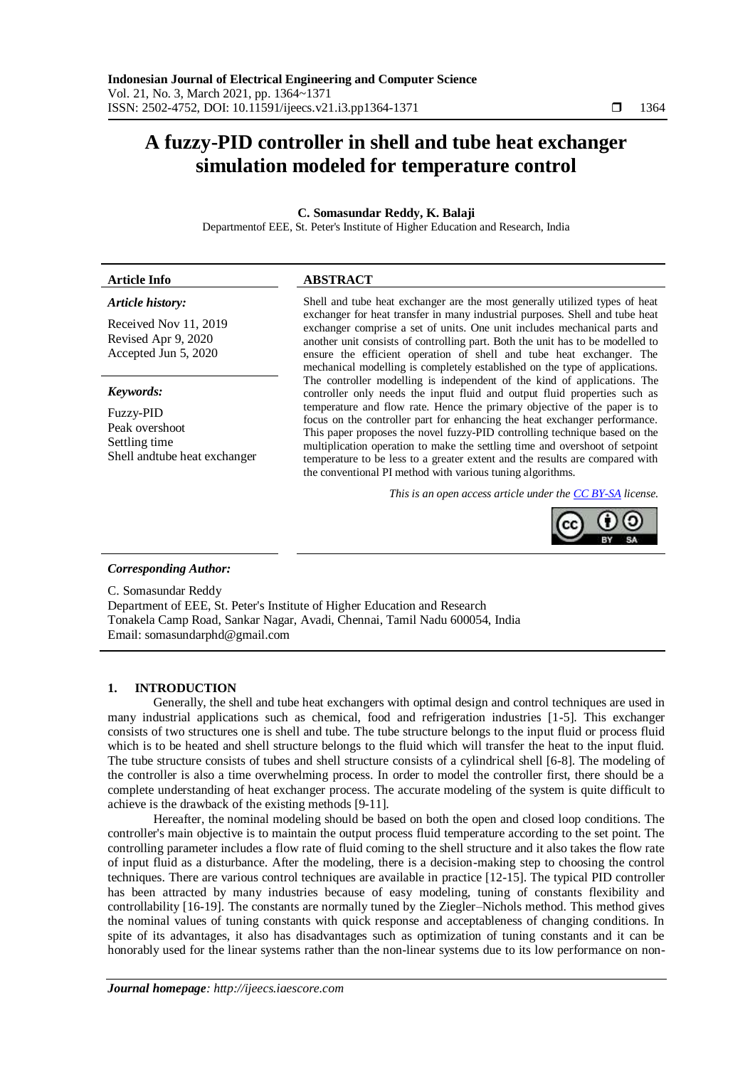# **A fuzzy-PID controller in shell and tube heat exchanger simulation modeled for temperature control**

# **C. Somasundar Reddy, K. Balaji**

Departmentof EEE, St. Peter's Institute of Higher Education and Research, India

## **Article Info ABSTRACT**

## *Article history:*

Received Nov 11, 2019 Revised Apr 9, 2020 Accepted Jun 5, 2020

## *Keywords:*

Fuzzy-PID Peak overshoot Settling time Shell andtube heat exchanger Shell and tube heat exchanger are the most generally utilized types of heat exchanger for heat transfer in many industrial purposes. Shell and tube heat exchanger comprise a set of units. One unit includes mechanical parts and another unit consists of controlling part. Both the unit has to be modelled to ensure the efficient operation of shell and tube heat exchanger. The mechanical modelling is completely established on the type of applications. The controller modelling is independent of the kind of applications. The controller only needs the input fluid and output fluid properties such as temperature and flow rate. Hence the primary objective of the paper is to focus on the controller part for enhancing the heat exchanger performance. This paper proposes the novel fuzzy-PID controlling technique based on the multiplication operation to make the settling time and overshoot of setpoint temperature to be less to a greater extent and the results are compared with the conventional PI method with various tuning algorithms.

*This is an open access article under the [CC BY-SA](https://creativecommons.org/licenses/by-sa/4.0/) license.*



# *Corresponding Author:*

C. Somasundar Reddy Department of EEE, St. Peter's Institute of Higher Education and Research Tonakela Camp Road, Sankar Nagar, Avadi, Chennai, Tamil Nadu 600054, India Email: somasundarphd@gmail.com

# **1. INTRODUCTION**

Generally, the shell and tube heat exchangers with optimal design and control techniques are used in many industrial applications such as chemical, food and refrigeration industries [1-5]. This exchanger consists of two structures one is shell and tube. The tube structure belongs to the input fluid or process fluid which is to be heated and shell structure belongs to the fluid which will transfer the heat to the input fluid. The tube structure consists of tubes and shell structure consists of a cylindrical shell [6-8]. The modeling of the controller is also a time overwhelming process. In order to model the controller first, there should be a complete understanding of heat exchanger process. The accurate modeling of the system is quite difficult to achieve is the drawback of the existing methods [9-11].

Hereafter, the nominal modeling should be based on both the open and closed loop conditions. The controller's main objective is to maintain the output process fluid temperature according to the set point. The controlling parameter includes a flow rate of fluid coming to the shell structure and it also takes the flow rate of input fluid as a disturbance. After the modeling, there is a decision-making step to choosing the control techniques. There are various control techniques are available in practice [12-15]. The typical PID controller has been attracted by many industries because of easy modeling, tuning of constants flexibility and controllability [16-19]. The constants are normally tuned by the Ziegler–Nichols method. This method gives the nominal values of tuning constants with quick response and acceptableness of changing conditions. In spite of its advantages, it also has disadvantages such as optimization of tuning constants and it can be honorably used for the linear systems rather than the non-linear systems due to its low performance on non-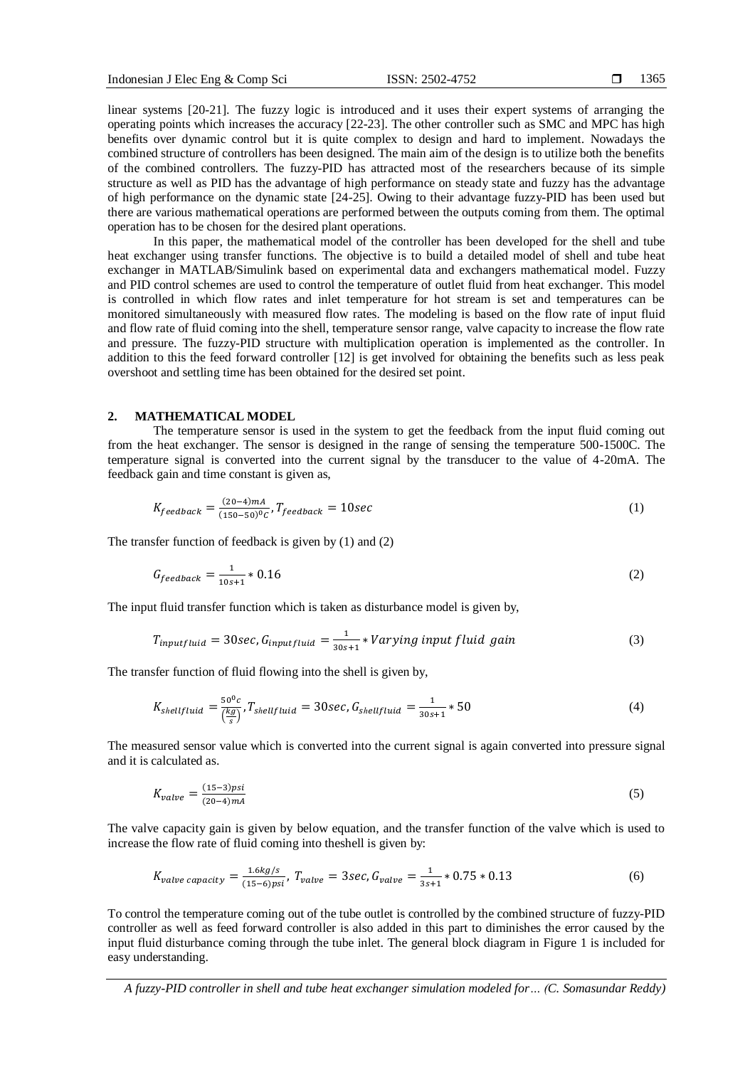linear systems [20-21]. The fuzzy logic is introduced and it uses their expert systems of arranging the operating points which increases the accuracy [22-23]. The other controller such as SMC and MPC has high benefits over dynamic control but it is quite complex to design and hard to implement. Nowadays the combined structure of controllers has been designed. The main aim of the design is to utilize both the benefits of the combined controllers. The fuzzy-PID has attracted most of the researchers because of its simple structure as well as PID has the advantage of high performance on steady state and fuzzy has the advantage of high performance on the dynamic state [24-25]. Owing to their advantage fuzzy-PID has been used but there are various mathematical operations are performed between the outputs coming from them. The optimal operation has to be chosen for the desired plant operations.

In this paper, the mathematical model of the controller has been developed for the shell and tube heat exchanger using transfer functions. The objective is to build a detailed model of shell and tube heat exchanger in MATLAB/Simulink based on experimental data and exchangers mathematical model. Fuzzy and PID control schemes are used to control the temperature of outlet fluid from heat exchanger. This model is controlled in which flow rates and inlet temperature for hot stream is set and temperatures can be monitored simultaneously with measured flow rates. The modeling is based on the flow rate of input fluid and flow rate of fluid coming into the shell, temperature sensor range, valve capacity to increase the flow rate and pressure. The fuzzy-PID structure with multiplication operation is implemented as the controller. In addition to this the feed forward controller [12] is get involved for obtaining the benefits such as less peak overshoot and settling time has been obtained for the desired set point.

#### **2. MATHEMATICAL MODEL**

The temperature sensor is used in the system to get the feedback from the input fluid coming out from the heat exchanger. The sensor is designed in the range of sensing the temperature 500-1500C. The temperature signal is converted into the current signal by the transducer to the value of 4-20mA. The feedback gain and time constant is given as,

$$
K_{feedback} = \frac{(20-4)mA}{(150-50)^0c}, T_{feedback} = 10sec
$$
\n(1)

The transfer function of feedback is given by (1) and (2)

$$
G_{feedback} = \frac{1}{10s + 1} * 0.16
$$
 (2)

The input fluid transfer function which is taken as disturbance model is given by,

$$
T_{inputfluid} = 30sec, G_{inputfluid} = \frac{1}{30s+1} * Varying input fluid gain
$$
\n(3)

The transfer function of fluid flowing into the shell is given by,

$$
K_{shellfluid} = \frac{50^0 c}{\left(\frac{kg}{s}\right)}, T_{shellfluid} = 30 sec, G_{shellfluid} = \frac{1}{30 s + 1} * 50
$$
 (4)

The measured sensor value which is converted into the current signal is again converted into pressure signal and it is calculated as.

$$
K_{value} = \frac{(15-3)psi}{(20-4)mA}
$$
 (5)

The valve capacity gain is given by below equation, and the transfer function of the valve which is used to increase the flow rate of fluid coming into theshell is given by:

$$
K_{valve\ capacity} = \frac{1.6kg/s}{(15-6)psi}, \ T_{valve} = 3sec, \ G_{valve} = \frac{1}{3s+1} * 0.75 * 0.13
$$
 (6)

To control the temperature coming out of the tube outlet is controlled by the combined structure of fuzzy-PID controller as well as feed forward controller is also added in this part to diminishes the error caused by the input fluid disturbance coming through the tube inlet. The general block diagram in Figure 1 is included for easy understanding.

*A fuzzy-PID controller in shell and tube heat exchanger simulation modeled for… (C. Somasundar Reddy)*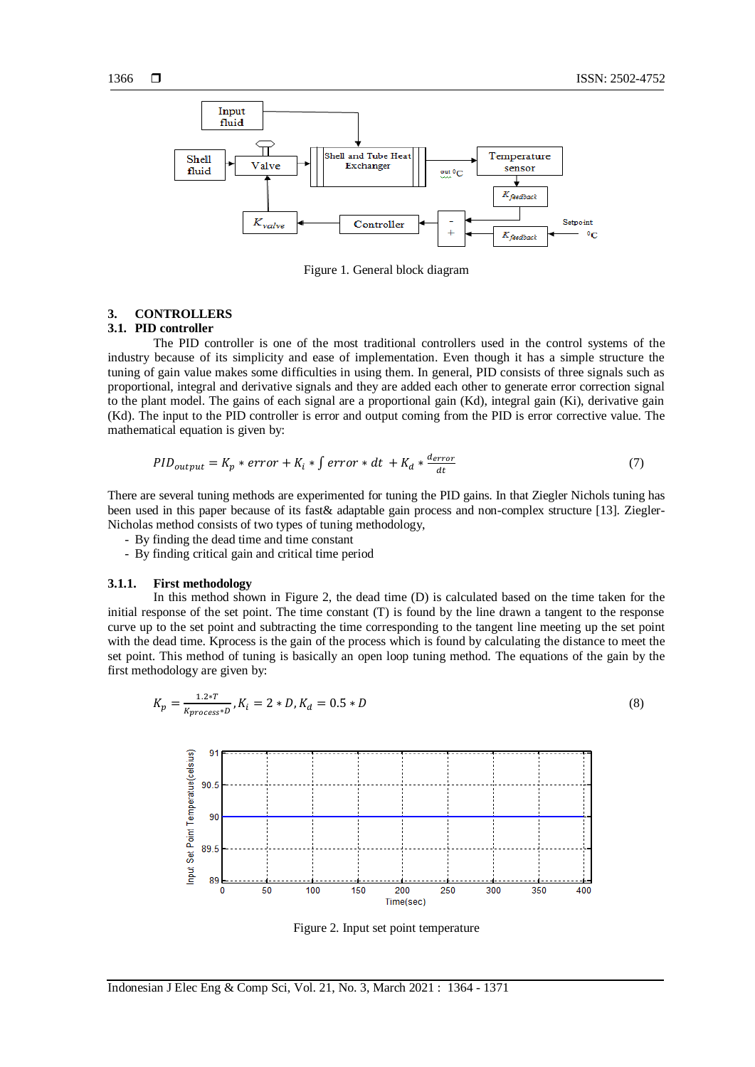

Figure 1. General block diagram

# **3. CONTROLLERS**

# **3.1. PID controller**

The PID controller is one of the most traditional controllers used in the control systems of the industry because of its simplicity and ease of implementation. Even though it has a simple structure the tuning of gain value makes some difficulties in using them. In general, PID consists of three signals such as proportional, integral and derivative signals and they are added each other to generate error correction signal to the plant model. The gains of each signal are a proportional gain (Kd), integral gain (Ki), derivative gain (Kd). The input to the PID controller is error and output coming from the PID is error corrective value. The mathematical equation is given by:

$$
PID_{output} = K_p * error + K_i * \int error * dt + K_d * \frac{d_{error}}{dt}
$$
\n
$$
\tag{7}
$$

There are several tuning methods are experimented for tuning the PID gains. In that Ziegler Nichols tuning has been used in this paper because of its fast& adaptable gain process and non-complex structure [13]. Ziegler-Nicholas method consists of two types of tuning methodology,

- By finding the dead time and time constant
- By finding critical gain and critical time period

#### **3.1.1. First methodology**

In this method shown in Figure 2, the dead time (D) is calculated based on the time taken for the initial response of the set point. The time constant (T) is found by the line drawn a tangent to the response curve up to the set point and subtracting the time corresponding to the tangent line meeting up the set point with the dead time. Kprocess is the gain of the process which is found by calculating the distance to meet the set point. This method of tuning is basically an open loop tuning method. The equations of the gain by the first methodology are given by:

$$
K_p = \frac{1.2*T}{K_{process}*D}, K_i = 2*D, K_d = 0.5*D
$$
\n(8)



Figure 2. Input set point temperature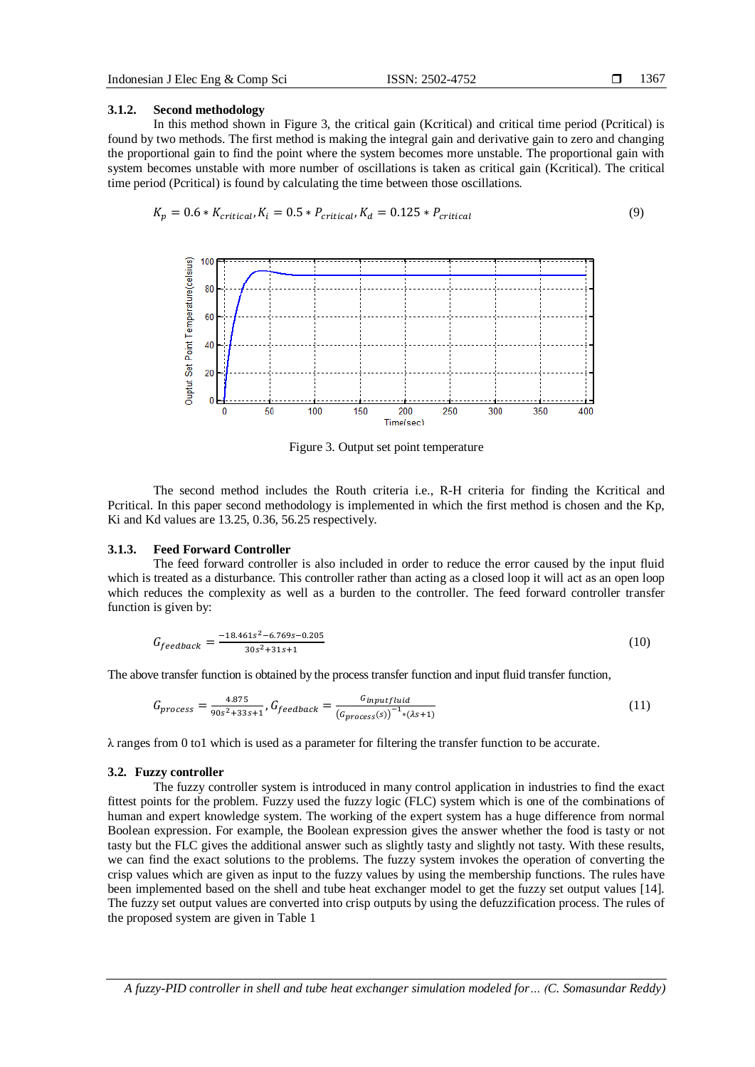#### **3.1.2. Second methodology**

In this method shown in Figure 3, the critical gain (Kcritical) and critical time period (Pcritical) is found by two methods. The first method is making the integral gain and derivative gain to zero and changing the proportional gain to find the point where the system becomes more unstable. The proportional gain with system becomes unstable with more number of oscillations is taken as critical gain (Kcritical). The critical time period (Pcritical) is found by calculating the time between those oscillations.

$$
K_p = 0.6 * K_{critical}, K_i = 0.5 * P_{critical}, K_d = 0.125 * P_{critical}
$$
\n
$$
(9)
$$



Figure 3. Output set point temperature

The second method includes the Routh criteria i.e., R-H criteria for finding the Kcritical and Pcritical. In this paper second methodology is implemented in which the first method is chosen and the Kp, Ki and Kd values are 13.25, 0.36, 56.25 respectively.

## **3.1.3. Feed Forward Controller**

The feed forward controller is also included in order to reduce the error caused by the input fluid which is treated as a disturbance. This controller rather than acting as a closed loop it will act as an open loop which reduces the complexity as well as a burden to the controller. The feed forward controller transfer function is given by:

$$
G_{feedback} = \frac{-18.461s^2 - 6.769s - 0.205}{30s^2 + 31s + 1}
$$
\n(10)

The above transfer function is obtained by the process transfer function and input fluid transfer function,

$$
G_{process} = \frac{4.875}{90s^2 + 33s + 1}, G_{feedback} = \frac{G_{inputfluid}}{(G_{process}(s))^{-1}*(\lambda s + 1)}
$$
(11)

 $\lambda$  ranges from 0 to1 which is used as a parameter for filtering the transfer function to be accurate.

# **3.2. Fuzzy controller**

The fuzzy controller system is introduced in many control application in industries to find the exact fittest points for the problem. Fuzzy used the fuzzy logic (FLC) system which is one of the combinations of human and expert knowledge system. The working of the expert system has a huge difference from normal Boolean expression. For example, the Boolean expression gives the answer whether the food is tasty or not tasty but the FLC gives the additional answer such as slightly tasty and slightly not tasty. With these results, we can find the exact solutions to the problems. The fuzzy system invokes the operation of converting the crisp values which are given as input to the fuzzy values by using the membership functions. The rules have been implemented based on the shell and tube heat exchanger model to get the fuzzy set output values [14]. The fuzzy set output values are converted into crisp outputs by using the defuzzification process. The rules of the proposed system are given in Table 1

*A fuzzy-PID controller in shell and tube heat exchanger simulation modeled for… (C. Somasundar Reddy)*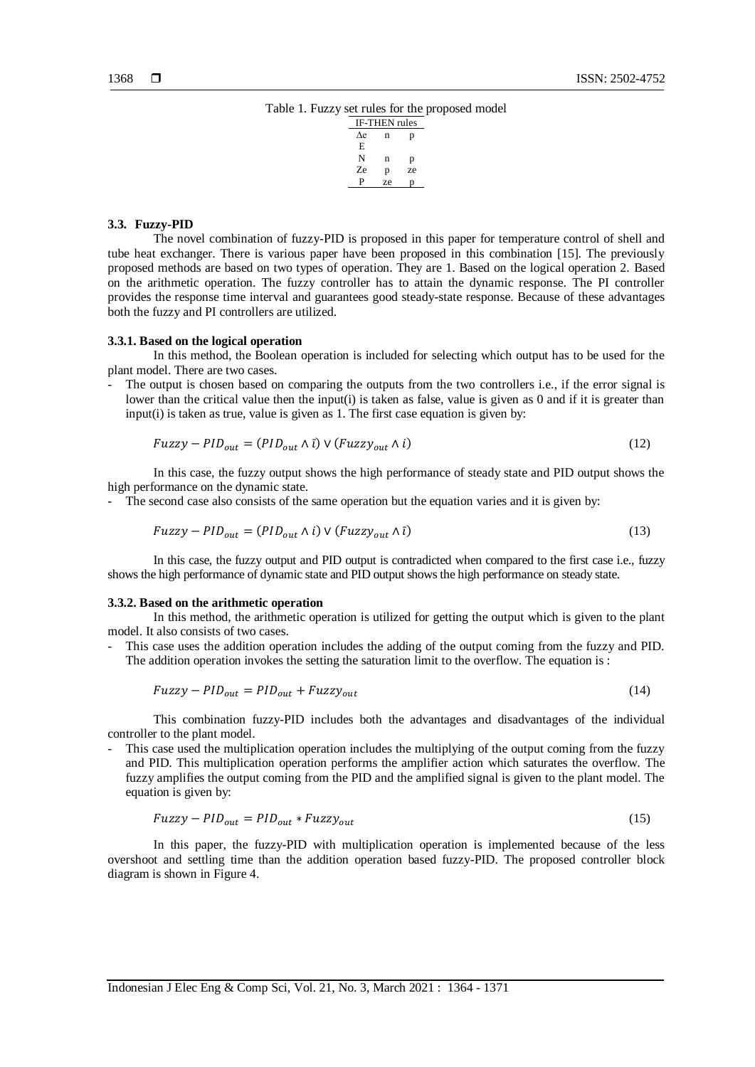Table 1. Fuzzy set rules for the proposed model



### **3.3. Fuzzy-PID**

The novel combination of fuzzy-PID is proposed in this paper for temperature control of shell and tube heat exchanger. There is various paper have been proposed in this combination [15]. The previously proposed methods are based on two types of operation. They are 1. Based on the logical operation 2. Based on the arithmetic operation. The fuzzy controller has to attain the dynamic response. The PI controller provides the response time interval and guarantees good steady-state response. Because of these advantages both the fuzzy and PI controllers are utilized.

#### **3.3.1. Based on the logical operation**

In this method, the Boolean operation is included for selecting which output has to be used for the plant model. There are two cases.

The output is chosen based on comparing the outputs from the two controllers i.e., if the error signal is lower than the critical value then the input(i) is taken as false, value is given as 0 and if it is greater than input(i) is taken as true, value is given as 1. The first case equation is given by:

$$
Fuzzy - PID_{out} = (PID_{out} \land \bar{\iota}) \lor (Fuzzy_{out} \land \bar{\iota})
$$
\n
$$
(12)
$$

In this case, the fuzzy output shows the high performance of steady state and PID output shows the high performance on the dynamic state.

- The second case also consists of the same operation but the equation varies and it is given by:

$$
Fuzzy - PID_{out} = (PID_{out} \land i) \lor (Fuzzy_{out} \land i)
$$
\n
$$
(13)
$$

In this case, the fuzzy output and PID output is contradicted when compared to the first case i.e., fuzzy shows the high performance of dynamic state and PID output shows the high performance on steady state.

## **3.3.2. Based on the arithmetic operation**

In this method, the arithmetic operation is utilized for getting the output which is given to the plant model. It also consists of two cases.

- This case uses the addition operation includes the adding of the output coming from the fuzzy and PID. The addition operation invokes the setting the saturation limit to the overflow. The equation is :

$$
Fuzzy - PID_{out} = PID_{out} + Fuzzy_{out}
$$
\n
$$
(14)
$$

This combination fuzzy-PID includes both the advantages and disadvantages of the individual controller to the plant model.

This case used the multiplication operation includes the multiplying of the output coming from the fuzzy and PID. This multiplication operation performs the amplifier action which saturates the overflow. The fuzzy amplifies the output coming from the PID and the amplified signal is given to the plant model. The equation is given by:

$$
Fuzzy - PID_{out} = PID_{out} * Fuzzy_{out}
$$
\n
$$
(15)
$$

In this paper, the fuzzy-PID with multiplication operation is implemented because of the less overshoot and settling time than the addition operation based fuzzy-PID. The proposed controller block diagram is shown in Figure 4.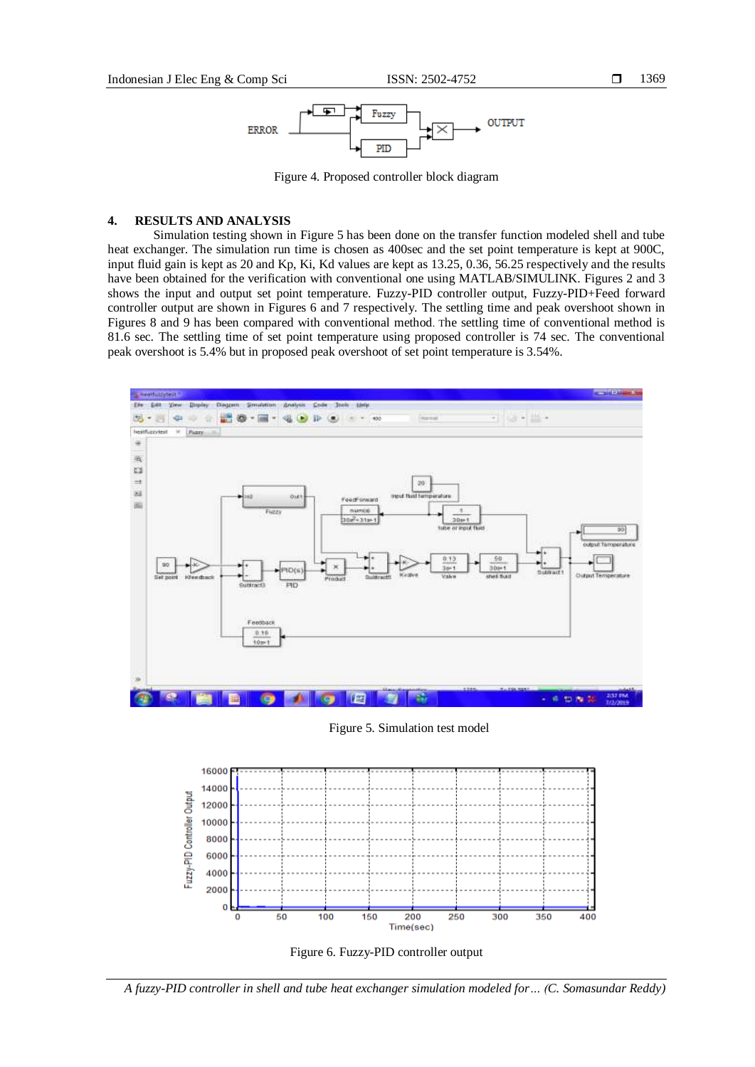

Figure 4. Proposed controller block diagram

## **4. RESULTS AND ANALYSIS**

Simulation testing shown in Figure 5 has been done on the transfer function modeled shell and tube heat exchanger. The simulation run time is chosen as 400sec and the set point temperature is kept at 900C, input fluid gain is kept as 20 and Kp, Ki, Kd values are kept as 13.25, 0.36, 56.25 respectively and the results have been obtained for the verification with conventional one using MATLAB/SIMULINK. Figures 2 and 3 shows the input and output set point temperature. Fuzzy-PID controller output, Fuzzy-PID+Feed forward controller output are shown in Figures 6 and 7 respectively. The settling time and peak overshoot shown in Figures 8 and 9 has been compared with conventional method. The settling time of conventional method is 81.6 sec. The settling time of set point temperature using proposed controller is 74 sec. The conventional peak overshoot is 5.4% but in proposed peak overshoot of set point temperature is 3.54%.



Figure 5. Simulation test model





*A fuzzy-PID controller in shell and tube heat exchanger simulation modeled for… (C. Somasundar Reddy)*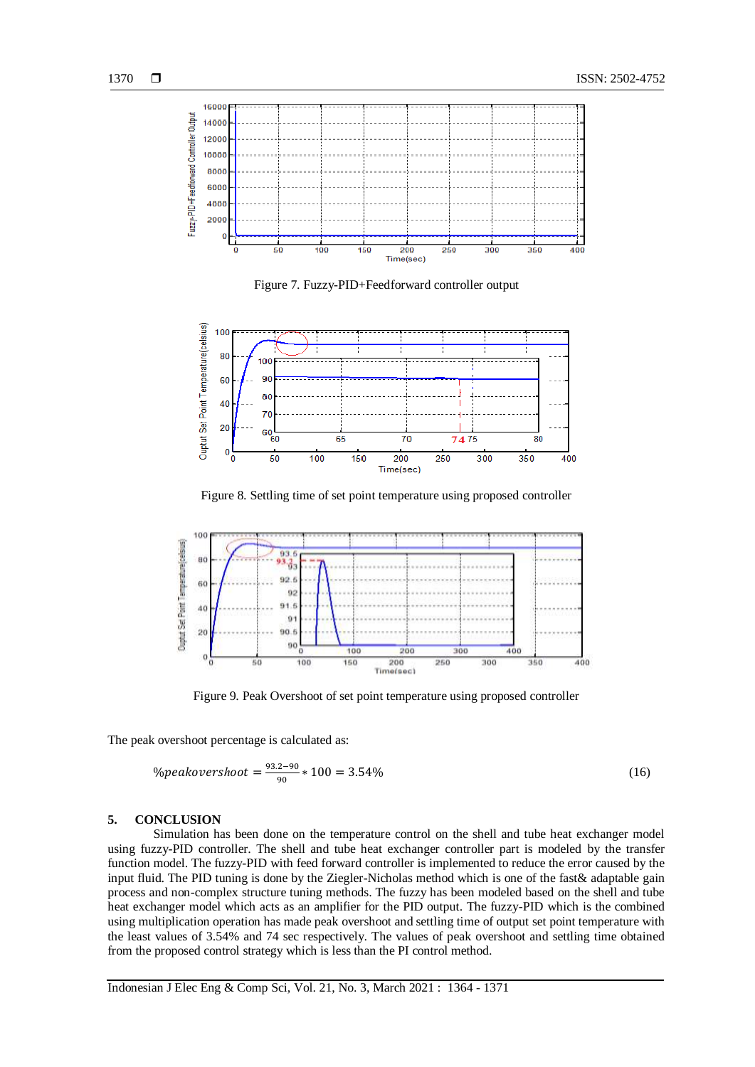



Figure 7. Fuzzy-PID+Feedforward controller output



Figure 8. Settling time of set point temperature using proposed controller



Figure 9. Peak Overshoot of set point temperature using proposed controller

The peak overshoot percentage is calculated as:

$$
\% peakovershoot = \frac{93.2 - 90}{90} * 100 = 3.54\% \tag{16}
$$

## **5. CONCLUSION**

Simulation has been done on the temperature control on the shell and tube heat exchanger model using fuzzy-PID controller. The shell and tube heat exchanger controller part is modeled by the transfer function model. The fuzzy-PID with feed forward controller is implemented to reduce the error caused by the input fluid. The PID tuning is done by the Ziegler-Nicholas method which is one of the fast & adaptable gain process and non-complex structure tuning methods. The fuzzy has been modeled based on the shell and tube heat exchanger model which acts as an amplifier for the PID output. The fuzzy-PID which is the combined using multiplication operation has made peak overshoot and settling time of output set point temperature with the least values of 3.54% and 74 sec respectively. The values of peak overshoot and settling time obtained from the proposed control strategy which is less than the PI control method.